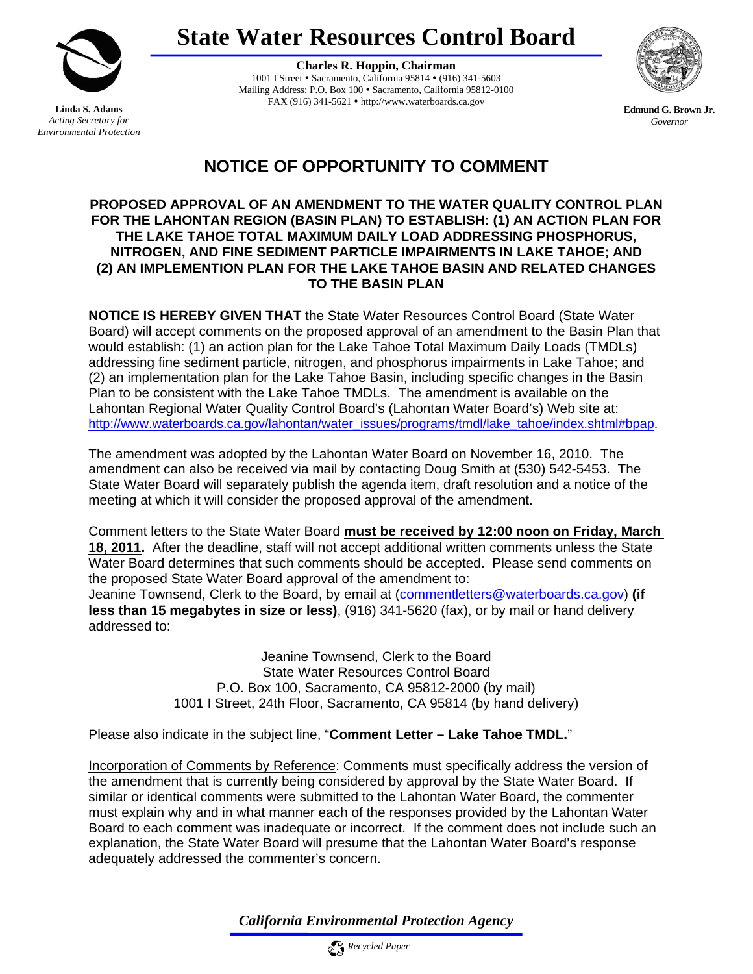

**Linda S. Adams**  *Acting Secretary for Environmental Protection*  **State Water Resources Control Board** 

**Charles R. Hoppin, Chairman**  1001 I Street • Sacramento, California 95814 • (916) 341-5603 Mailing Address: P.O. Box 100 · Sacramento, California 95812-0100 FAX (916) 341-5621 • http://www.waterboards.ca.gov



**Edmund G. Brown Jr.** *Governor* 

## **NOTICE OF OPPORTUNITY TO COMMENT**

## **PROPOSED APPROVAL OF AN AMENDMENT TO THE WATER QUALITY CONTROL PLAN FOR THE LAHONTAN REGION (BASIN PLAN) TO ESTABLISH: (1) AN ACTION PLAN FOR THE LAKE TAHOE TOTAL MAXIMUM DAILY LOAD ADDRESSING PHOSPHORUS, NITROGEN, AND FINE SEDIMENT PARTICLE IMPAIRMENTS IN LAKE TAHOE; AND (2) AN IMPLEMENTION PLAN FOR THE LAKE TAHOE BASIN AND RELATED CHANGES TO THE BASIN PLAN**

**NOTICE IS HEREBY GIVEN THAT** the State Water Resources Control Board (State Water Board) will accept comments on the proposed approval of an amendment to the Basin Plan that would establish: (1) an action plan for the Lake Tahoe Total Maximum Daily Loads (TMDLs) addressing fine sediment particle, nitrogen, and phosphorus impairments in Lake Tahoe; and (2) an implementation plan for the Lake Tahoe Basin, including specific changes in the Basin Plan to be consistent with the Lake Tahoe TMDLs. The amendment is available on the Lahontan Regional Water Quality Control Board's (Lahontan Water Board's) Web site at: [http://www.waterboards.ca.gov/lahontan/water\\_issues/programs/tmdl/lake\\_tahoe/index.shtml#bpap](http://www.waterboards.ca.gov/lahontan/water_issues/programs/tmdl/lake_tahoe/index.shtml#bpap).

The amendment was adopted by the Lahontan Water Board on November 16, 2010. The amendment can also be received via mail by contacting Doug Smith at (530) 542-5453. The State Water Board will separately publish the agenda item, draft resolution and a notice of the meeting at which it will consider the proposed approval of the amendment.

Comment letters to the State Water Board **must be received by 12:00 noon on Friday, March 18, 2011.** After the deadline, staff will not accept additional written comments unless the State Water Board determines that such comments should be accepted. Please send comments on the proposed State Water Board approval of the amendment to:

Jeanine Townsend, Clerk to the Board, by email at [\(commentletters@waterboards.ca.gov\)](mailto:commentletters@waterboards.ca.gov) **(if less than 15 megabytes in size or less)**, (916) 341-5620 (fax), or by mail or hand delivery addressed to:

> Jeanine Townsend, Clerk to the Board State Water Resources Control Board P.O. Box 100, Sacramento, CA 95812-2000 (by mail) 1001 I Street, 24th Floor, Sacramento, CA 95814 (by hand delivery)

Please also indicate in the subject line, "**Comment Letter – Lake Tahoe TMDL.**"

Incorporation of Comments by Reference: Comments must specifically address the version of the amendment that is currently being considered by approval by the State Water Board. If similar or identical comments were submitted to the Lahontan Water Board, the commenter must explain why and in what manner each of the responses provided by the Lahontan Water Board to each comment was inadequate or incorrect. If the comment does not include such an explanation, the State Water Board will presume that the Lahontan Water Board's response adequately addressed the commenter's concern.

*California Environmental Protection Agency*